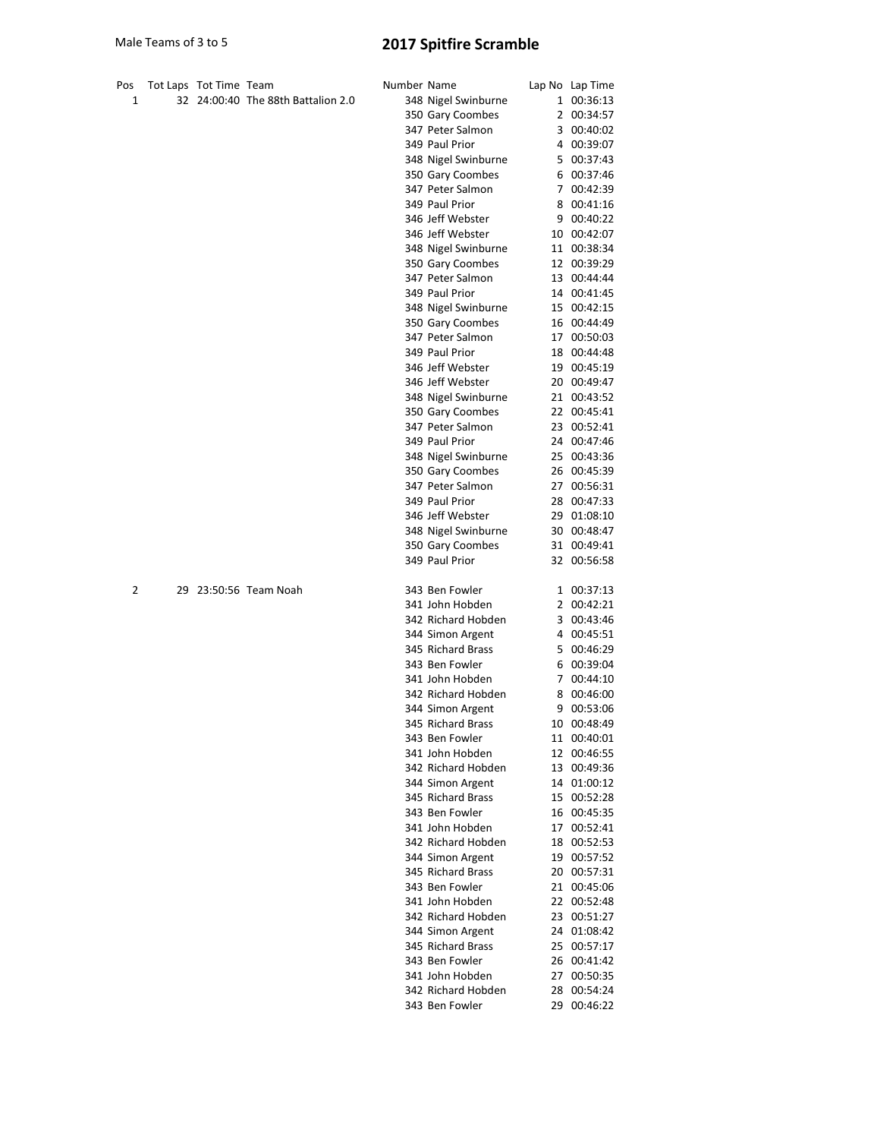## Male Teams of 3 to 5 2017 Spitfire Scramble

| Pos | Tot Laps Tot Time Team |                                    | Number Name |                                         | Lap No Lap Time            |
|-----|------------------------|------------------------------------|-------------|-----------------------------------------|----------------------------|
| 1   |                        | 32 24:00:40 The 88th Battalion 2.0 |             | 348 Nigel Swinburne                     | 1 00:36:13                 |
|     |                        |                                    |             | 350 Gary Coombes                        | 2 00:34:57                 |
|     |                        |                                    |             | 347 Peter Salmon                        | 3 00:40:02                 |
|     |                        |                                    |             | 349 Paul Prior                          | 4 00:39:07                 |
|     |                        |                                    |             | 348 Nigel Swinburne                     | 5 00:37:43                 |
|     |                        |                                    |             | 350 Gary Coombes                        | 6 00:37:46                 |
|     |                        |                                    |             | 347 Peter Salmon                        | 7 00:42:39                 |
|     |                        |                                    |             | 349 Paul Prior                          | 8 00:41:16                 |
|     |                        |                                    |             | 346 Jeff Webster                        | 9 00:40:22                 |
|     |                        |                                    |             | 346 Jeff Webster                        | 10 00:42:07                |
|     |                        |                                    |             | 348 Nigel Swinburne                     | 11 00:38:34                |
|     |                        |                                    |             | 350 Gary Coombes                        | 12 00:39:29                |
|     |                        |                                    |             | 347 Peter Salmon                        | 13 00:44:44                |
|     |                        |                                    |             | 349 Paul Prior                          | 14 00:41:45                |
|     |                        |                                    |             | 348 Nigel Swinburne                     | 15 00:42:15                |
|     |                        |                                    |             | 350 Gary Coombes                        | 16 00:44:49                |
|     |                        |                                    |             | 347 Peter Salmon                        | 17 00:50:03                |
|     |                        |                                    |             | 349 Paul Prior                          | 18 00:44:48                |
|     |                        |                                    |             | 346 Jeff Webster<br>346 Jeff Webster    | 19 00:45:19                |
|     |                        |                                    |             |                                         | 20 00:49:47                |
|     |                        |                                    |             | 348 Nigel Swinburne<br>350 Gary Coombes | 21 00:43:52<br>22 00:45:41 |
|     |                        |                                    |             | 347 Peter Salmon                        | 23 00:52:41                |
|     |                        |                                    |             | 349 Paul Prior                          | 24 00:47:46                |
|     |                        |                                    |             | 348 Nigel Swinburne                     | 25 00:43:36                |
|     |                        |                                    |             | 350 Gary Coombes                        | 26 00:45:39                |
|     |                        |                                    |             | 347 Peter Salmon                        | 27 00:56:31                |
|     |                        |                                    |             | 349 Paul Prior                          | 28 00:47:33                |
|     |                        |                                    |             | 346 Jeff Webster                        | 29 01:08:10                |
|     |                        |                                    |             | 348 Nigel Swinburne                     | 30 00:48:47                |
|     |                        |                                    |             | 350 Gary Coombes                        | 31 00:49:41                |
|     |                        |                                    |             | 349 Paul Prior                          | 32 00:56:58                |
| 2   |                        | 29 23:50:56 Team Noah              |             | 343 Ben Fowler                          | 1 00:37:13                 |
|     |                        |                                    |             | 341 John Hobden                         | 2 00:42:21                 |
|     |                        |                                    |             | 342 Richard Hobden                      | 3 00:43:46                 |
|     |                        |                                    |             | 344 Simon Argent                        | 4 00:45:51                 |
|     |                        |                                    |             | 345 Richard Brass                       | 5 00:46:29                 |
|     |                        |                                    |             | 343 Ben Fowler                          | 6 00:39:04                 |
|     |                        |                                    |             | 341 John Hobden                         | 7 00:44:10                 |
|     |                        |                                    |             | 342 Richard Hobden                      | 8 00:46:00                 |
|     |                        |                                    |             | 344 Simon Argent                        | 9 00:53:06                 |
|     |                        |                                    |             | 345 Richard Brass                       | 10 00:48:49                |
|     |                        |                                    |             | 343 Ben Fowler                          | 11 00:40:01                |
|     |                        |                                    |             | 341 John Hobden                         | 12 00:46:55                |
|     |                        |                                    |             | 342 Richard Hobden                      | 13 00:49:36                |
|     |                        |                                    |             | 344 Simon Argent                        | 14 01:00:12                |
|     |                        |                                    |             | 345 Richard Brass<br>343 Ben Fowler     | 15 00:52:28<br>16 00:45:35 |
|     |                        |                                    |             | 341 John Hobden                         | 17 00:52:41                |
|     |                        |                                    |             | 342 Richard Hobden                      | 18 00:52:53                |
|     |                        |                                    |             | 344 Simon Argent                        | 19 00:57:52                |
|     |                        |                                    |             | 345 Richard Brass                       | 20 00:57:31                |
|     |                        |                                    |             | 343 Ben Fowler                          | 21 00:45:06                |
|     |                        |                                    |             | 341 John Hobden                         | 22 00:52:48                |
|     |                        |                                    |             | 342 Richard Hobden                      | 23 00:51:27                |
|     |                        |                                    |             | 344 Simon Argent                        | 24 01:08:42                |
|     |                        |                                    |             | 345 Richard Brass                       | 25 00:57:17                |
|     |                        |                                    |             | 343 Ben Fowler                          | 26 00:41:42                |
|     |                        |                                    |             | 341 John Hobden                         | 27 00:50:35                |
|     |                        |                                    |             | 342 Richard Hobden                      | 28 00:54:24                |
|     |                        |                                    |             | 343 Ben Fowler                          | 29 00:46:22                |
|     |                        |                                    |             |                                         |                            |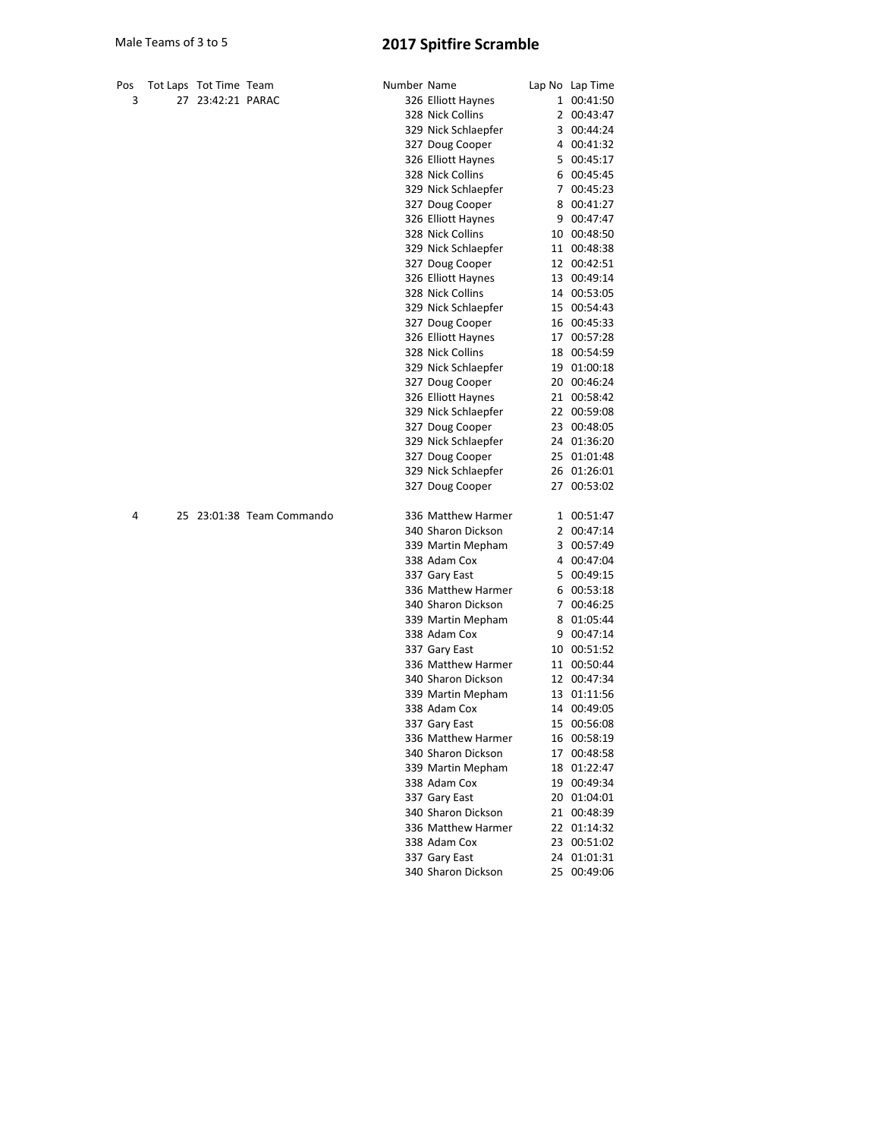## Male Teams of 3 to 5 2017 Spitfire Scramble

| Pos |    | Tot Laps Tot Time Team |                           | Number Name        |                     | Lap No Lap Time |
|-----|----|------------------------|---------------------------|--------------------|---------------------|-----------------|
| 3   | 27 | 23:42:21 PARAC         |                           |                    | 326 Elliott Haynes  | 1 00:41:50      |
|     |    |                        |                           |                    | 328 Nick Collins    | 2 00:43:47      |
|     |    |                        |                           |                    | 329 Nick Schlaepfer | 3 00:44:24      |
|     |    |                        |                           |                    | 327 Doug Cooper     | 4 00:41:32      |
|     |    |                        |                           |                    | 326 Elliott Haynes  | 5 00:45:17      |
|     |    |                        |                           |                    | 328 Nick Collins    | 6 00:45:45      |
|     |    |                        |                           |                    | 329 Nick Schlaepfer | 7 00:45:23      |
|     |    |                        |                           |                    | 327 Doug Cooper     | 8 00:41:27      |
|     |    |                        |                           |                    | 326 Elliott Haynes  | 9 00:47:47      |
|     |    |                        |                           |                    | 328 Nick Collins    | 10 00:48:50     |
|     |    |                        |                           |                    | 329 Nick Schlaepfer | 11 00:48:38     |
|     |    |                        |                           |                    | 327 Doug Cooper     | 12 00:42:51     |
|     |    |                        |                           |                    | 326 Elliott Haynes  | 13 00:49:14     |
|     |    |                        |                           |                    | 328 Nick Collins    | 14 00:53:05     |
|     |    |                        |                           |                    | 329 Nick Schlaepfer | 15 00:54:43     |
|     |    |                        |                           |                    | 327 Doug Cooper     | 16 00:45:33     |
|     |    |                        |                           |                    | 326 Elliott Haynes  | 17 00:57:28     |
|     |    |                        |                           |                    | 328 Nick Collins    | 18 00:54:59     |
|     |    |                        |                           |                    | 329 Nick Schlaepfer | 19 01:00:18     |
|     |    |                        |                           |                    | 327 Doug Cooper     | 20 00:46:24     |
|     |    |                        |                           |                    | 326 Elliott Haynes  | 21 00:58:42     |
|     |    |                        |                           |                    | 329 Nick Schlaepfer | 22 00:59:08     |
|     |    |                        |                           |                    | 327 Doug Cooper     | 23 00:48:05     |
|     |    |                        |                           |                    | 329 Nick Schlaepfer | 24 01:36:20     |
|     |    |                        |                           |                    | 327 Doug Cooper     | 25 01:01:48     |
|     |    |                        |                           |                    | 329 Nick Schlaepfer | 26 01:26:01     |
|     |    |                        |                           |                    | 327 Doug Cooper     | 27 00:53:02     |
| 4   |    |                        | 25 23:01:38 Team Commando |                    | 336 Matthew Harmer  | 1 00:51:47      |
|     |    |                        |                           |                    | 340 Sharon Dickson  | 2 00:47:14      |
|     |    |                        |                           |                    | 339 Martin Mepham   | 3 00:57:49      |
|     |    |                        |                           |                    | 338 Adam Cox        | 4 00:47:04      |
|     |    |                        |                           |                    | 337 Gary East       | 5 00:49:15      |
|     |    |                        |                           |                    | 336 Matthew Harmer  | 6 00:53:18      |
|     |    |                        |                           |                    | 340 Sharon Dickson  | 7 00:46:25      |
|     |    |                        |                           |                    | 339 Martin Mepham   | 8 01:05:44      |
|     |    |                        |                           |                    | 338 Adam Cox        | 9 00:47:14      |
|     |    |                        |                           | 337 Gary East      | 10 00:51:52         |                 |
|     |    |                        |                           | 336 Matthew Harmer | 11 00:50:44         |                 |
|     |    |                        |                           | 340 Sharon Dickson | 12 00:47:34         |                 |
|     |    |                        |                           | 339 Martin Mepham  | 13 01:11:56         |                 |
|     |    |                        |                           |                    | 338 Adam Cox        | 14 00:49:05     |
|     |    |                        |                           |                    | 337 Gary East       | 15 00:56:08     |
|     |    |                        |                           |                    | 336 Matthew Harmer  | 16 00:58:19     |
|     |    |                        |                           |                    | 340 Sharon Dickson  | 17 00:48:58     |
|     |    |                        |                           |                    | 339 Martin Mepham   | 18 01:22:47     |
|     |    |                        |                           |                    | 338 Adam Cox        | 19 00:49:34     |
|     |    |                        |                           |                    | 337 Gary East       | 20 01:04:01     |
|     |    |                        |                           |                    | 340 Sharon Dickson  | 21 00:48:39     |
|     |    |                        |                           |                    | 336 Matthew Harmer  | 22 01:14:32     |
|     |    |                        |                           |                    | 338 Adam Cox        | 23 00:51:02     |
|     |    |                        |                           |                    | 337 Gary East       | 24 01:01:31     |
|     |    |                        |                           |                    | 340 Sharon Dickson  | 25 00:49:06     |